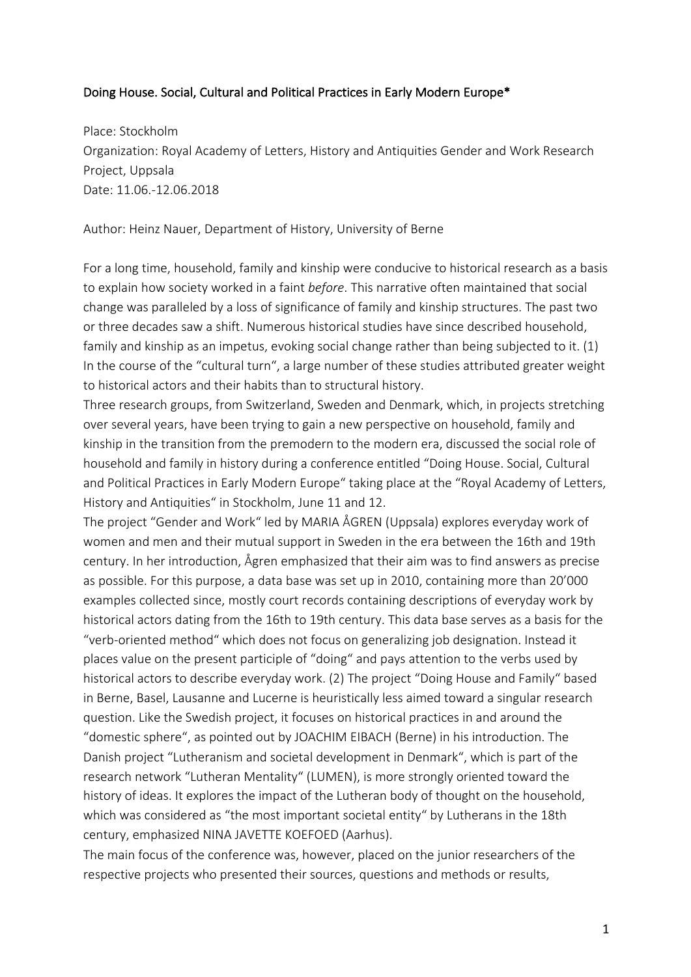## Doing House. Social, Cultural and Political Practices in Early Modern Europe\*

Place: Stockholm Organization: Royal Academy of Letters, History and Antiquities Gender and Work Research Project, Uppsala Date: 11.06.-12.06.2018

## Author: Heinz Nauer, Department of History, University of Berne

For a long time, household, family and kinship were conducive to historical research as a basis to explain how society worked in a faint *before*. This narrative often maintained that social change was paralleled by a loss of significance of family and kinship structures. The past two or three decades saw a shift. Numerous historical studies have since described household, family and kinship as an impetus, evoking social change rather than being subjected to it.  $(1)$ In the course of the "cultural turn", a large number of these studies attributed greater weight to historical actors and their habits than to structural history.

Three research groups, from Switzerland, Sweden and Denmark, which, in projects stretching over several years, have been trying to gain a new perspective on household, family and kinship in the transition from the premodern to the modern era, discussed the social role of household and family in history during a conference entitled "Doing House. Social, Cultural and Political Practices in Early Modern Europe" taking place at the "Royal Academy of Letters, History and Antiquities" in Stockholm, June 11 and 12.

The project "Gender and Work" led by MARIA ÅGREN (Uppsala) explores everyday work of women and men and their mutual support in Sweden in the era between the 16th and 19th century. In her introduction, Ågren emphasized that their aim was to find answers as precise as possible. For this purpose, a data base was set up in 2010, containing more than 20'000 examples collected since, mostly court records containing descriptions of everyday work by historical actors dating from the 16th to 19th century. This data base serves as a basis for the "verb-oriented method" which does not focus on generalizing job designation. Instead it places value on the present participle of "doing" and pays attention to the verbs used by historical actors to describe everyday work. (2) The project "Doing House and Family" based in Berne, Basel, Lausanne and Lucerne is heuristically less aimed toward a singular research question. Like the Swedish project, it focuses on historical practices in and around the "domestic sphere", as pointed out by JOACHIM EIBACH (Berne) in his introduction. The Danish project "Lutheranism and societal development in Denmark", which is part of the research network "Lutheran Mentality" (LUMEN), is more strongly oriented toward the history of ideas. It explores the impact of the Lutheran body of thought on the household, which was considered as "the most important societal entity" by Lutherans in the 18th century, emphasized NINA JAVETTE KOEFOED (Aarhus).

The main focus of the conference was, however, placed on the junior researchers of the respective projects who presented their sources, questions and methods or results,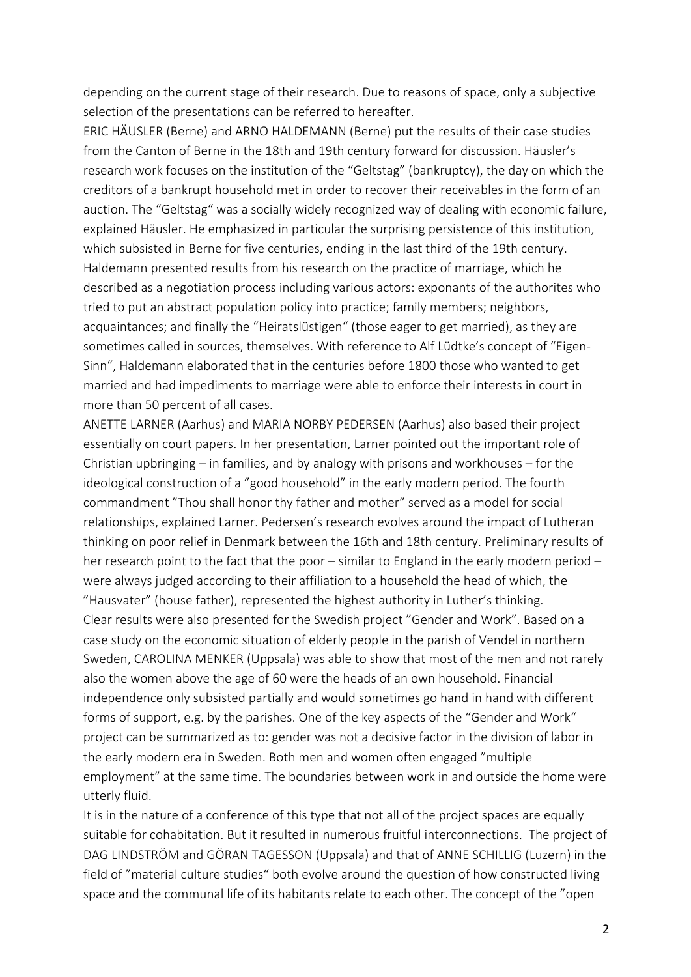depending on the current stage of their research. Due to reasons of space, only a subjective selection of the presentations can be referred to hereafter.

ERIC HÄUSLER (Berne) and ARNO HALDEMANN (Berne) put the results of their case studies from the Canton of Berne in the 18th and 19th century forward for discussion. Häusler's research work focuses on the institution of the "Geltstag" (bankruptcy), the day on which the creditors of a bankrupt household met in order to recover their receivables in the form of an auction. The "Geltstag" was a socially widely recognized way of dealing with economic failure, explained Häusler. He emphasized in particular the surprising persistence of this institution, which subsisted in Berne for five centuries, ending in the last third of the 19th century. Haldemann presented results from his research on the practice of marriage, which he described as a negotiation process including various actors: exponants of the authorites who tried to put an abstract population policy into practice; family members; neighbors, acquaintances; and finally the "Heiratslüstigen" (those eager to get married), as they are sometimes called in sources, themselves. With reference to Alf Lüdtke's concept of "Eigen-Sinn", Haldemann elaborated that in the centuries before 1800 those who wanted to get married and had impediments to marriage were able to enforce their interests in court in more than 50 percent of all cases.

ANETTE LARNER (Aarhus) and MARIA NORBY PEDERSEN (Aarhus) also based their project essentially on court papers. In her presentation, Larner pointed out the important role of Christian upbringing  $-$  in families, and by analogy with prisons and workhouses  $-$  for the ideological construction of a "good household" in the early modern period. The fourth commandment "Thou shall honor thy father and mother" served as a model for social relationships, explained Larner. Pedersen's research evolves around the impact of Lutheran thinking on poor relief in Denmark between the 16th and 18th century. Preliminary results of her research point to the fact that the poor – similar to England in the early modern period – were always judged according to their affiliation to a household the head of which, the "Hausvater" (house father), represented the highest authority in Luther's thinking. Clear results were also presented for the Swedish project "Gender and Work". Based on a case study on the economic situation of elderly people in the parish of Vendel in northern Sweden, CAROLINA MENKER (Uppsala) was able to show that most of the men and not rarely also the women above the age of 60 were the heads of an own household. Financial independence only subsisted partially and would sometimes go hand in hand with different forms of support, e.g. by the parishes. One of the key aspects of the "Gender and Work" project can be summarized as to: gender was not a decisive factor in the division of labor in the early modern era in Sweden. Both men and women often engaged "multiple employment" at the same time. The boundaries between work in and outside the home were utterly fluid. 

It is in the nature of a conference of this type that not all of the project spaces are equally suitable for cohabitation. But it resulted in numerous fruitful interconnections. The project of DAG LINDSTRÖM and GÖRAN TAGESSON (Uppsala) and that of ANNE SCHILLIG (Luzern) in the field of "material culture studies" both evolve around the question of how constructed living space and the communal life of its habitants relate to each other. The concept of the "open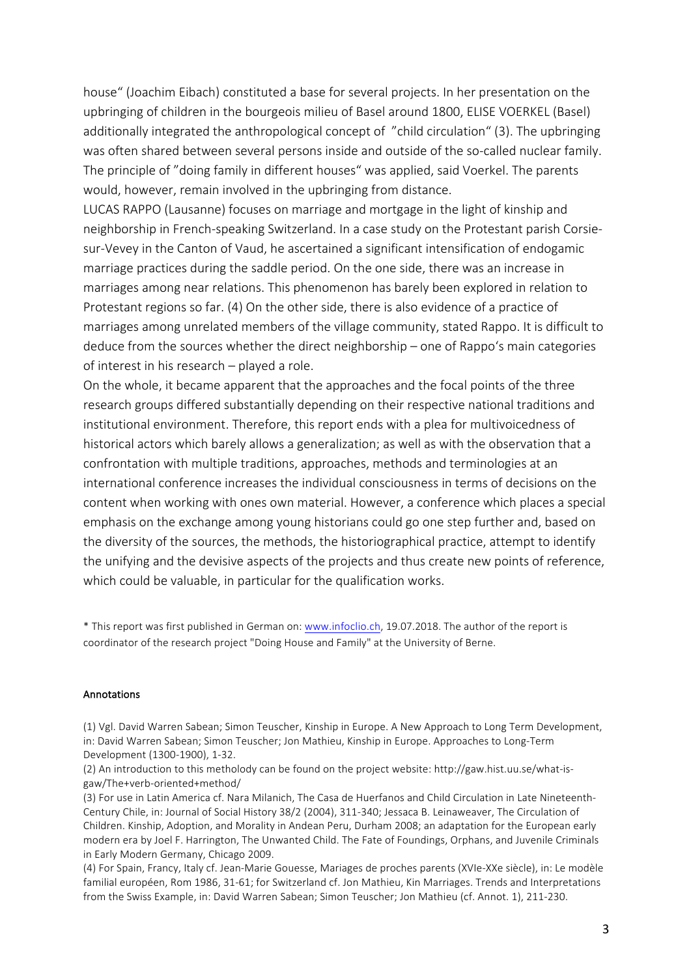house" (Joachim Eibach) constituted a base for several projects. In her presentation on the upbringing of children in the bourgeois milieu of Basel around 1800, ELISE VOERKEL (Basel) additionally integrated the anthropological concept of "child circulation" (3). The upbringing was often shared between several persons inside and outside of the so-called nuclear family. The principle of "doing family in different houses" was applied, said Voerkel. The parents would, however, remain involved in the upbringing from distance.

LUCAS RAPPO (Lausanne) focuses on marriage and mortgage in the light of kinship and neighborship in French-speaking Switzerland. In a case study on the Protestant parish Corsiesur-Vevey in the Canton of Vaud, he ascertained a significant intensification of endogamic marriage practices during the saddle period. On the one side, there was an increase in marriages among near relations. This phenomenon has barely been explored in relation to Protestant regions so far. (4) On the other side, there is also evidence of a practice of marriages among unrelated members of the village community, stated Rappo. It is difficult to deduce from the sources whether the direct neighborship – one of Rappo's main categories of interest in his research  $-$  played a role.

On the whole, it became apparent that the approaches and the focal points of the three research groups differed substantially depending on their respective national traditions and institutional environment. Therefore, this report ends with a plea for multivoicedness of historical actors which barely allows a generalization; as well as with the observation that a confrontation with multiple traditions, approaches, methods and terminologies at an international conference increases the individual consciousness in terms of decisions on the content when working with ones own material. However, a conference which places a special emphasis on the exchange among young historians could go one step further and, based on the diversity of the sources, the methods, the historiographical practice, attempt to identify the unifying and the devisive aspects of the projects and thus create new points of reference, which could be valuable, in particular for the qualification works.

\* This report was first published in German on: [www.infoclio.ch,](http://www.infoclio.ch/en/doing-house-social-cultural-and-political-practices-early-modern-europe) 19.07.2018. The author of the report is coordinator of the research project "Doing House and Family" at the University of Berne.

## Annotations

(1) Vgl. David Warren Sabean; Simon Teuscher, Kinship in Europe. A New Approach to Long Term Development, in: David Warren Sabean; Simon Teuscher; Jon Mathieu, Kinship in Europe. Approaches to Long-Term Development (1300-1900), 1-32.

(2) An introduction to this metholody can be found on the project website: http://gaw.hist.uu.se/what-isgaw/The+verb-oriented+method/

(3) For use in Latin America cf. Nara Milanich, The Casa de Huerfanos and Child Circulation in Late Nineteenth-Century Chile, in: Journal of Social History 38/2 (2004), 311-340; Jessaca B. Leinaweaver, The Circulation of Children. Kinship, Adoption, and Morality in Andean Peru, Durham 2008; an adaptation for the European early modern era by Joel F. Harrington, The Unwanted Child. The Fate of Foundings, Orphans, and Juvenile Criminals in Early Modern Germany, Chicago 2009.

(4) For Spain, Francy, Italy cf. Jean-Marie Gouesse, Mariages de proches parents (XVIe-XXe siècle), in: Le modèle familial européen, Rom 1986, 31-61; for Switzerland cf. Jon Mathieu, Kin Marriages. Trends and Interpretations from the Swiss Example, in: David Warren Sabean; Simon Teuscher; Jon Mathieu (cf. Annot. 1), 211-230.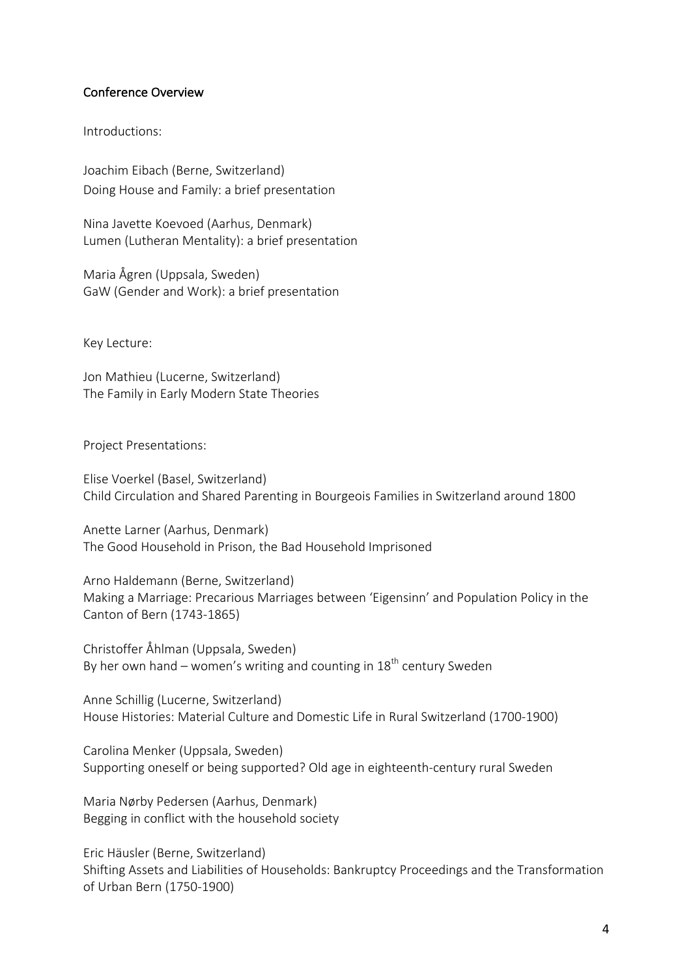## Conference Overview

Introductions:

Joachim Eibach (Berne, Switzerland) Doing House and Family: a brief presentation

Nina Javette Koevoed (Aarhus, Denmark) Lumen (Lutheran Mentality): a brief presentation

Maria Ågren (Uppsala, Sweden) GaW (Gender and Work): a brief presentation

Key Lecture:

Jon Mathieu (Lucerne, Switzerland) The Family in Early Modern State Theories

Project Presentations:

Elise Voerkel (Basel, Switzerland) Child Circulation and Shared Parenting in Bourgeois Families in Switzerland around 1800

Anette Larner (Aarhus, Denmark) The Good Household in Prison, the Bad Household Imprisoned

Arno Haldemann (Berne, Switzerland) Making a Marriage: Precarious Marriages between 'Eigensinn' and Population Policy in the Canton of Bern (1743-1865)

Christoffer Åhlman (Uppsala, Sweden) By her own hand – women's writing and counting in  $18^{th}$  century Sweden

Anne Schillig (Lucerne, Switzerland) House Histories: Material Culture and Domestic Life in Rural Switzerland (1700-1900)

Carolina Menker (Uppsala, Sweden) Supporting oneself or being supported? Old age in eighteenth-century rural Sweden

Maria Nørby Pedersen (Aarhus, Denmark) Begging in conflict with the household society

Eric Häusler (Berne, Switzerland) Shifting Assets and Liabilities of Households: Bankruptcy Proceedings and the Transformation of Urban Bern (1750-1900)